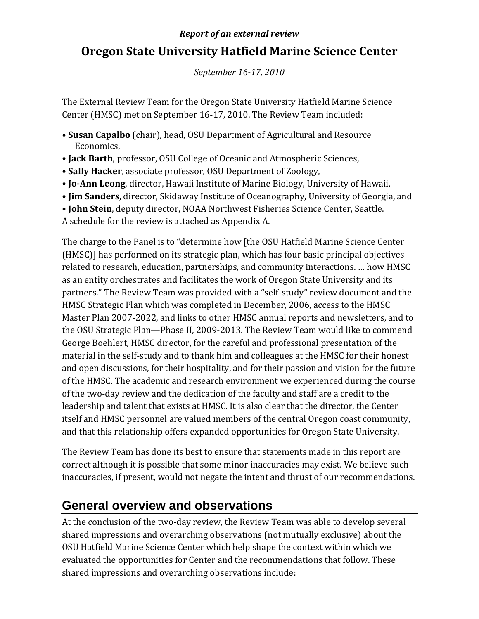#### *Report of an external review*

# **Oregon State University Hatfield Marine Science Center**

*September 1617, 2010*

The External Review Team for the Oregon State University Hatfield Marine Science Center (HMSC) met on September 16‐17, 2010. The Review Team included:

- **Susan Capalbo** (chair), head, OSU Department of Agricultural and Resource Economics,
- **Jack Barth**, professor, OSU College of Oceanic and Atmospheric Sciences,
- **Sally Hacker**, associate professor, OSU Department of Zoology,
- **JoAnn Leong**, director, Hawaii Institute of Marine Biology, University of Hawaii,
- **Jim Sanders**, director, Skidaway Institute of Oceanography, University of Georgia, and
- **John Stein**, deputy director, NOAA Northwest Fisheries Science Center, Seattle.

A schedule for the review is attached as Appendix A.

The charge to the Panel is to "determine how [the OSU Hatfield Marine Science Center (HMSC)] has performed on its strategic plan, which has four basic principal objectives related to research, education, partnerships, and community interactions. … how HMSC as an entity orchestrates and facilitates the work of Oregon State University and its partners." The Review Team was provided with a "self‐study" review document and the HMSC Strategic Plan which was completed in December, 2006, access to the HMSC Master Plan 2007‐2022, and links to other HMSC annual reports and newsletters, and to the OSU Strategic Plan—Phase II, 2009‐2013. The Review Team would like to commend George Boehlert, HMSC director, for the careful and professional presentation of the material in the self‐study and to thank him and colleagues at the HMSC for their honest and open discussions, for their hospitality, and for their passion and vision for the future of the HMSC. The academic and research environment we experienced during the course of the two‐day review and the dedication of the faculty and staff are a credit to the leadership and talent that exists at HMSC. It is also clear that the director, the Center itself and HMSC personnel are valued members of the central Oregon coast community, and that this relationship offers expanded opportunities for Oregon State University.

The Review Team has done its best to ensure that statements made in this report are correct although it is possible that some minor inaccuracies may exist. We believe such inaccuracies, if present, would not negate the intent and thrust of our recommendations.

# **General overview and observations**

At the conclusion of the two-day review, the Review Team was able to develop several shared impressions and overarching observations (not mutually exclusive) about the OSU Hatfield Marine Science Center which help shape the context within which we evaluated the opportunities for Center and the recommendations that follow. These shared impressions and overarching observations include: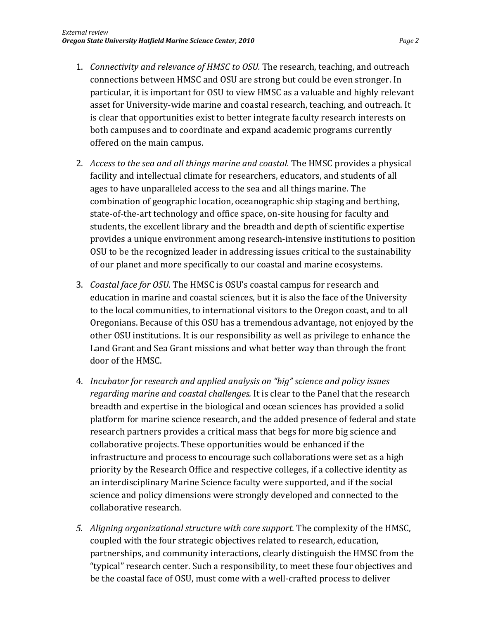- 1. *Connectivity and relevance of HMSC to OSU.* The research, teaching, and outreach connections between HMSC and OSU are strong but could be even stronger. In particular, it is important for OSU to view HMSC as a valuable and highly relevant asset for University‐wide marine and coastal research, teaching, and outreach. It is clear that opportunities exist to better integrate faculty research interests on both campuses and to coordinate and expand academic programs currently offered on the main campus.
- 2. *Access to the sea and all things marine and coastal.* The HMSC provides a physical facility and intellectual climate for researchers, educators, and students of all ages to have unparalleled access to the sea and all things marine. The combination of geographic location, oceanographic ship staging and berthing, state-of-the-art technology and office space, on-site housing for faculty and students, the excellent library and the breadth and depth of scientific expertise provides a unique environment among research‐intensive institutions to position OSU to be the recognized leader in addressing issues critical to the sustainability of our planet and more specifically to our coastal and marine ecosystems.
- 3. *Coastal face for OSU.* The HMSC is OSU's coastal campus for research and education in marine and coastal sciences, but it is also the face of the University to the local communities, to international visitors to the Oregon coast, and to all Oregonians. Because of this OSU has a tremendous advantage, not enjoyed by the other OSU institutions. It is our responsibility as well as privilege to enhance the Land Grant and Sea Grant missions and what better way than through the front door of the HMSC.
- 4. *Incubator for research and applied analysis on "big" science and policy issues regarding marine and coastal challenges.* It is clear to the Panel that the research breadth and expertise in the biological and ocean sciences has provided a solid platform for marine science research, and the added presence of federal and state research partners provides a critical mass that begs for more big science and collaborative projects. These opportunities would be enhanced if the infrastructure and process to encourage such collaborations were set as a high priority by the Research Office and respective colleges, if a collective identity as an interdisciplinary Marine Science faculty were supported, and if the social science and policy dimensions were strongly developed and connected to the collaborative research.
- *5. Aligning organizational structure with core support.* The complexity of the HMSC, coupled with the four strategic objectives related to research, education, partnerships, and community interactions, clearly distinguish the HMSC from the "typical" research center. Such a responsibility, to meet these four objectives and be the coastal face of OSU, must come with a well-crafted process to deliver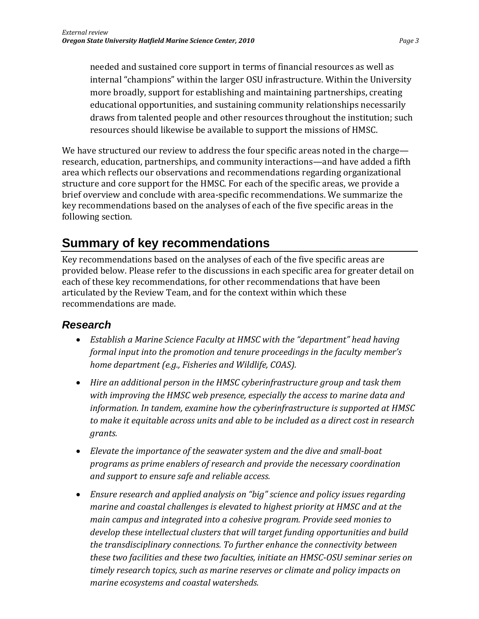needed and sustained core support in terms of financial resources as well as internal "champions" within the larger OSU infrastructure. Within the University more broadly, support for establishing and maintaining partnerships, creating educational opportunities, and sustaining community relationships necessarily draws from talented people and other resources throughout the institution; such resources should likewise be available to support the missions of HMSC.

We have structured our review to address the four specific areas noted in the charge research, education, partnerships, and community interactions—and have added a fifth area which reflects our observations and recommendations regarding organizational structure and core support for the HMSC. For each of the specific areas, we provide a brief overview and conclude with area‐specific recommendations. We summarize the key recommendations based on the analyses of each of the five specific areas in the following section.

# **Summary of key recommendations**

Key recommendations based on the analyses of each of the five specific areas are provided below. Please refer to the discussions in each specific area for greater detail on each of these key recommendations, for other recommendations that have been articulated by the Review Team, and for the context within which these recommendations are made.

## *Research*

- *Establish a Marine Science Faculty at HMSC with the "department" head having formal input into the promotion and tenure proceedings in the faculty member's home department (e.g., Fisheries and Wildlife, COAS).*
- *Hire an additional person in the HMSC cyberinfrastructure group and task them with improving the HMSC web presence, especially the access to marine data and information. In tandem, examine how the cyberinfrastructure is supported at HMSC to make it equitable across units and able to be included as a direct cost in research grants.*
- *Elevate the importance of the seawater system and the dive and smallboat programs as prime enablers of research and provide the necessary coordination and support to ensure safe and reliable access.*
- *Ensure research and applied analysis on "big" science and policy issues regarding marine and coastal challenges is elevated to highest priority at HMSC and at the main campus and integrated into a cohesive program. Provide seed monies to develop these intellectual clusters that will target funding opportunities and build the transdisciplinary connections. To further enhance the connectivity between these two facilities and these two faculties, initiate an HMSCOSU seminar series on timely research topics, such as marine reserves or climate and policy impacts on marine ecosystems and coastal watersheds.*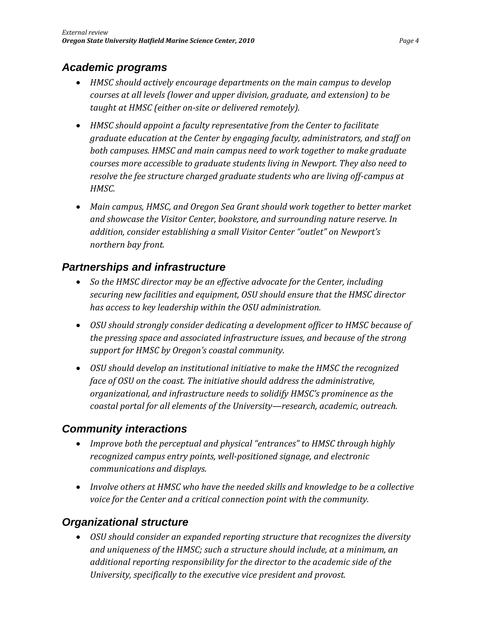### *Academic programs*

- *HMSC should actively encourage departments on the main campus to develop courses at all levels (lower and upper division, graduate, and extension) to be taught at HMSC (either onsite or delivered remotely).*
- *HMSC should appoint a faculty representative from the Center to facilitate graduate education at the Center by engaging faculty, administrators, and staff on both campuses. HMSC and main campus need to work together to make graduate courses more accessible to graduate students living in Newport. They also need to resolve the fee structure charged graduate students who are living offcampus at HMSC.*
- *Main campus, HMSC, and Oregon Sea Grant should work together to better market and showcase the Visitor Center, bookstore, and surrounding nature reserve. In addition, consider establishing a small Visitor Center "outlet" on Newport's northern bay front.*

### *Partnerships and infrastructure*

- *So the HMSC director may be an effective advocate for the Center, including securing new facilities and equipment, OSU should ensure that the HMSC director has access to key leadership within the OSU administration.*
- *OSU should strongly consider dedicating a development officer to HMSC because of the pressing space and associated infrastructure issues, and because of the strong support for HMSC by Oregon's coastal community.*
- *OSU should develop an institutional initiative to make the HMSC the recognized face of OSU on the coast. The initiative should address the administrative, organizational, and infrastructure needs to solidify HMSC's prominence as the coastal portal for all elements of the University—research, academic, outreach.*

## *Community interactions*

- *Improve both the perceptual and physical "entrances" to HMSC through highly recognized campus entry points, wellpositioned signage, and electronic communications and displays.*
- *Involve others at HMSC who have the needed skills and knowledge to be a collective voice for the Center and a critical connection point with the community.*

### *Organizational structure*

 *OSU should consider an expanded reporting structure that recognizes the diversity and uniqueness of the HMSC; such a structure should include, at a minimum, an additional reporting responsibility for the director to the academic side of the University, specifically to the executive vice president and provost.*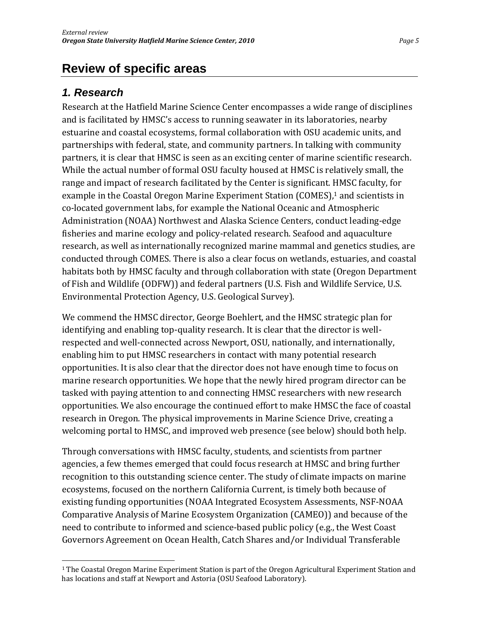# **Review of specific areas**

### *1. Research*

Research at the Hatfield Marine Science Center encompasses a wide range of disciplines and is facilitated by HMSC's access to running seawater in its laboratories, nearby estuarine and coastal ecosystems, formal collaboration with OSU academic units, and partnerships with federal, state, and community partners. In talking with community partners, it is clear that HMSC is seen as an exciting center of marine scientific research. While the actual number of formal OSU faculty housed at HMSC is relatively small, the range and impact of research facilitated by the Center is significant. HMSC faculty, for example in the Coastal Oregon Marine Experiment Station (COMES),<sup>1</sup> and scientists in co‐located government labs, for example the National Oceanic and Atmospheric Administration (NOAA) Northwest and Alaska Science Centers, conduct leading‐edge fisheries and marine ecology and policy-related research. Seafood and aquaculture research, as well as internationally recognized marine mammal and genetics studies, are conducted through COMES. There is also a clear focus on wetlands, estuaries, and coastal habitats both by HMSC faculty and through collaboration with state (Oregon Department of Fish and Wildlife (ODFW)) and federal partners (U.S. Fish and Wildlife Service, U.S. Environmental Protection Agency, U.S. Geological Survey).

We commend the HMSC director, George Boehlert, and the HMSC strategic plan for identifying and enabling top-quality research. It is clear that the director is wellrespected and well-connected across Newport, OSU, nationally, and internationally, enabling him to put HMSC researchers in contact with many potential research opportunities. It is also clear that the director does not have enough time to focus on marine research opportunities. We hope that the newly hired program director can be tasked with paying attention to and connecting HMSC researchers with new research opportunities. We also encourage the continued effort to make HMSC the face of coastal research in Oregon. The physical improvements in Marine Science Drive, creating a welcoming portal to HMSC, and improved web presence (see below) should both help.

Through conversations with HMSC faculty, students, and scientists from partner agencies, a few themes emerged that could focus research at HMSC and bring further recognition to this outstanding science center. The study of climate impacts on marine ecosystems, focused on the northern California Current, is timely both because of existing funding opportunities (NOAA Integrated Ecosystem Assessments, NSF‐NOAA Comparative Analysis of Marine Ecosystem Organization (CAMEO)) and because of the need to contribute to informed and science‐based public policy (e.g., the West Coast Governors Agreement on Ocean Health, Catch Shares and/or Individual Transferable

<sup>1</sup> The Coastal Oregon Marine Experiment Station is part of the Oregon Agricultural Experiment Station and has locations and staff at Newport and Astoria (OSU Seafood Laboratory).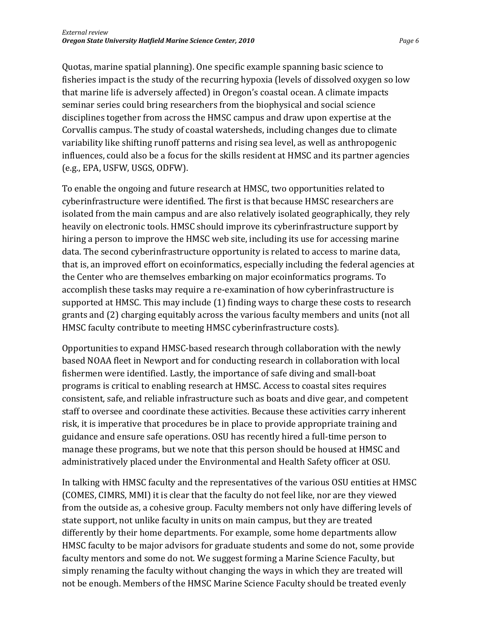Quotas, marine spatial planning). One specific example spanning basic science to fisheries impact is the study of the recurring hypoxia (levels of dissolved oxygen so low that marine life is adversely affected) in Oregon's coastal ocean. A climate impacts seminar series could bring researchers from the biophysical and social science disciplines together from across the HMSC campus and draw upon expertise at the Corvallis campus. The study of coastal watersheds, including changes due to climate variability like shifting runoff patterns and rising sea level, as well as anthropogenic influences, could also be a focus for the skills resident at HMSC and its partner agencies (e.g., EPA, USFW, USGS, ODFW).

To enable the ongoing and future research at HMSC, two opportunities related to cyberinfrastructure were identified. The first is that because HMSC researchers are isolated from the main campus and are also relatively isolated geographically, they rely heavily on electronic tools. HMSC should improve its cyberinfrastructure support by hiring a person to improve the HMSC web site, including its use for accessing marine data. The second cyberinfrastructure opportunity is related to access to marine data, that is, an improved effort on ecoinformatics, especially including the federal agencies at the Center who are themselves embarking on major ecoinformatics programs. To accomplish these tasks may require a re‐examination of how cyberinfrastructure is supported at HMSC. This may include (1) finding ways to charge these costs to research grants and (2) charging equitably across the various faculty members and units (not all HMSC faculty contribute to meeting HMSC cyberinfrastructure costs).

Opportunities to expand HMSC‐based research through collaboration with the newly based NOAA fleet in Newport and for conducting research in collaboration with local fishermen were identified. Lastly, the importance of safe diving and small‐boat programs is critical to enabling research at HMSC. Access to coastal sites requires consistent, safe, and reliable infrastructure such as boats and dive gear, and competent staff to oversee and coordinate these activities. Because these activities carry inherent risk, it is imperative that procedures be in place to provide appropriate training and guidance and ensure safe operations. OSU has recently hired a full‐time person to manage these programs, but we note that this person should be housed at HMSC and administratively placed under the Environmental and Health Safety officer at OSU.

In talking with HMSC faculty and the representatives of the various OSU entities at HMSC (COMES, CIMRS, MMI) it is clear that the faculty do not feel like, nor are they viewed from the outside as, a cohesive group. Faculty members not only have differing levels of state support, not unlike faculty in units on main campus, but they are treated differently by their home departments. For example, some home departments allow HMSC faculty to be major advisors for graduate students and some do not, some provide faculty mentors and some do not. We suggest forming a Marine Science Faculty, but simply renaming the faculty without changing the ways in which they are treated will not be enough. Members of the HMSC Marine Science Faculty should be treated evenly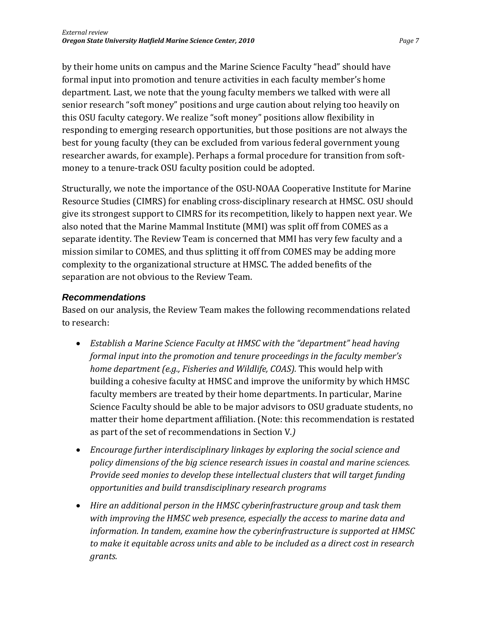by their home units on campus and the Marine Science Faculty "head" should have formal input into promotion and tenure activities in each faculty member's home department. Last, we note that the young faculty members we talked with were all senior research "soft money" positions and urge caution about relying too heavily on this OSU faculty category. We realize "soft money" positions allow flexibility in responding to emerging research opportunities, but those positions are not always the best for young faculty (they can be excluded from various federal government young researcher awards, for example). Perhaps a formal procedure for transition from soft‐ money to a tenure-track OSU faculty position could be adopted.

Structurally, we note the importance of the OSU‐NOAA Cooperative Institute for Marine Resource Studies (CIMRS) for enabling cross‐disciplinary research at HMSC. OSU should give its strongest support to CIMRS for its recompetition, likely to happen next year. We also noted that the Marine Mammal Institute (MMI) was split off from COMES as a separate identity. The Review Team is concerned that MMI has very few faculty and a mission similar to COMES, and thus splitting it off from COMES may be adding more complexity to the organizational structure at HMSC. The added benefits of the separation are not obvious to the Review Team.

#### *Recommendations*

Based on our analysis, the Review Team makes the following recommendations related to research:

- *Establish a Marine Science Faculty at HMSC with the "department" head having formal input into the promotion and tenure proceedings in the faculty member's home department (e.g., Fisheries and Wildlife, COAS).* This would help with building a cohesive faculty at HMSC and improve the uniformity by which HMSC faculty members are treated by their home departments. In particular, Marine Science Faculty should be able to be major advisors to OSU graduate students, no matter their home department affiliation. (Note: this recommendation is restated as part of the set of recommendations in Section V.*)*
- *Encourage further interdisciplinary linkages by exploring the social science and policy dimensions of the big science research issues in coastal and marine sciences. Provide seed monies to develop these intellectual clusters that will target funding opportunities and build transdisciplinary research programs*
- *Hire an additional person in the HMSC cyberinfrastructure group and task them with improving the HMSC web presence, especially the access to marine data and information. In tandem, examine how the cyberinfrastructure is supported at HMSC to make it equitable across units and able to be included as a direct cost in research grants.*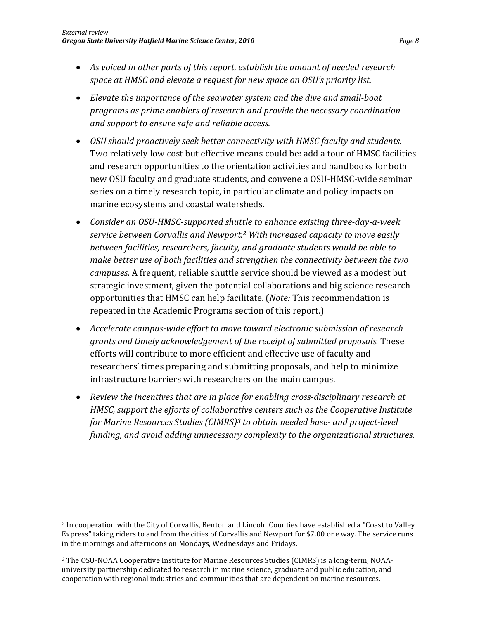- *As voiced in other parts of this report, establish the amount of needed research space at HMSC and elevate a request for new space on OSU's priority list.*
- *Elevate the importance of the seawater system and the dive and smallboat programs as prime enablers of research and provide the necessary coordination and support to ensure safe and reliable access.*
- *OSU should proactively seek better connectivity with HMSC faculty and students.* Two relatively low cost but effective means could be: add a tour of HMSC facilities and research opportunities to the orientation activities and handbooks for both new OSU faculty and graduate students, and convene a OSU‐HMSC‐wide seminar series on a timely research topic, in particular climate and policy impacts on marine ecosystems and coastal watersheds.
- *Consider an OSUHMSCsupported shuttle to enhance existing threedayaweek service between Corvallis and Newport.2 With increased capacity to move easily between facilities, researchers, faculty, and graduate students would be able to make better use of both facilities and strengthen the connectivity between the two campuses.* A frequent, reliable shuttle service should be viewed as a modest but strategic investment, given the potential collaborations and big science research opportunities that HMSC can help facilitate. (*Note:* This recommendation is repeated in the Academic Programs section of this report.)
- *Accelerate campuswide effort to move toward electronic submission of research grants and timely acknowledgement of the receipt of submitted proposals.* These efforts will contribute to more efficient and effective use of faculty and researchers' times preparing and submitting proposals, and help to minimize infrastructure barriers with researchers on the main campus.
- *Review the incentives that are in place for enabling crossdisciplinary research at HMSC, support the efforts of collaborative centers such as the Cooperative Institute for Marine Resources Studies (CIMRS)3 to obtain needed base and projectlevel funding, and avoid adding unnecessary complexity to the organizational structures.*

<sup>2</sup> In cooperation with the City of Corvallis, Benton and Lincoln Counties have established a "Coast to Valley Express" taking riders to and from the cities of Corvallis and Newport for \$7.00 one way. The service runs in the mornings and afternoons on Mondays, Wednesdays and Fridays.

<sup>&</sup>lt;sup>3</sup> The OSU-NOAA Cooperative Institute for Marine Resources Studies (CIMRS) is a long-term, NOAAuniversity partnership dedicated to research in marine science, graduate and public education, and cooperation with regional industries and communities that are dependent on marine resources.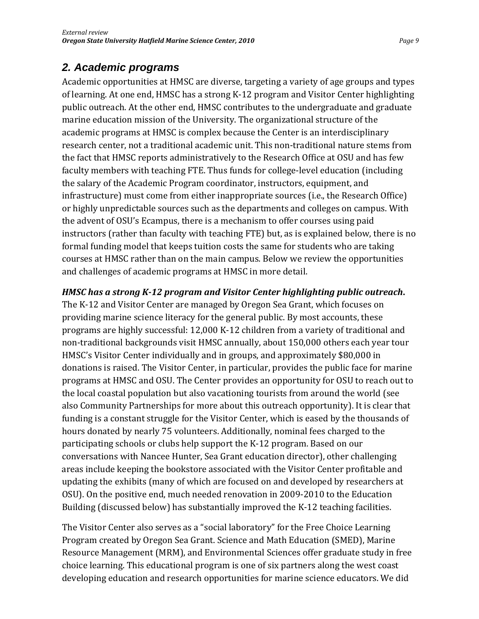## *2. Academic programs*

Academic opportunities at HMSC are diverse, targeting a variety of age groups and types of learning. At one end, HMSC has a strong K‐12 program and Visitor Center highlighting public outreach. At the other end, HMSC contributes to the undergraduate and graduate marine education mission of the University. The organizational structure of the academic programs at HMSC is complex because the Center is an interdisciplinary research center, not a traditional academic unit. This non-traditional nature stems from the fact that HMSC reports administratively to the Research Office at OSU and has few faculty members with teaching FTE. Thus funds for college‐level education (including the salary of the Academic Program coordinator, instructors, equipment, and infrastructure) must come from either inappropriate sources (i.e., the Research Office) or highly unpredictable sources such as the departments and colleges on campus. With the advent of OSU's Ecampus, there is a mechanism to offer courses using paid instructors (rather than faculty with teaching FTE) but, as is explained below, there is no formal funding model that keeps tuition costs the same for students who are taking courses at HMSC rather than on the main campus. Below we review the opportunities and challenges of academic programs at HMSC in more detail.

#### *HMSC has a strong K12 program and Visitor Center highlighting public outreach***.**

The K‐12 and Visitor Center are managed by Oregon Sea Grant, which focuses on providing marine science literacy for the general public. By most accounts, these programs are highly successful: 12,000 K‐12 children from a variety of traditional and non‐traditional backgrounds visit HMSC annually, about 150,000 others each year tour HMSC's Visitor Center individually and in groups, and approximately \$80,000 in donations is raised. The Visitor Center, in particular, provides the public face for marine programs at HMSC and OSU. The Center provides an opportunity for OSU to reach out to the local coastal population but also vacationing tourists from around the world (see also Community Partnerships for more about this outreach opportunity). It is clear that funding is a constant struggle for the Visitor Center, which is eased by the thousands of hours donated by nearly 75 volunteers. Additionally, nominal fees charged to the participating schools or clubs help support the K‐12 program. Based on our conversations with Nancee Hunter, Sea Grant education director), other challenging areas include keeping the bookstore associated with the Visitor Center profitable and updating the exhibits (many of which are focused on and developed by researchers at OSU). On the positive end, much needed renovation in 2009‐2010 to the Education Building (discussed below) has substantially improved the K‐12 teaching facilities.

The Visitor Center also serves as a "social laboratory" for the Free Choice Learning Program created by Oregon Sea Grant. Science and Math Education (SMED), Marine Resource Management (MRM), and Environmental Sciences offer graduate study in free choice learning. This educational program is one of six partners along the west coast developing education and research opportunities for marine science educators. We did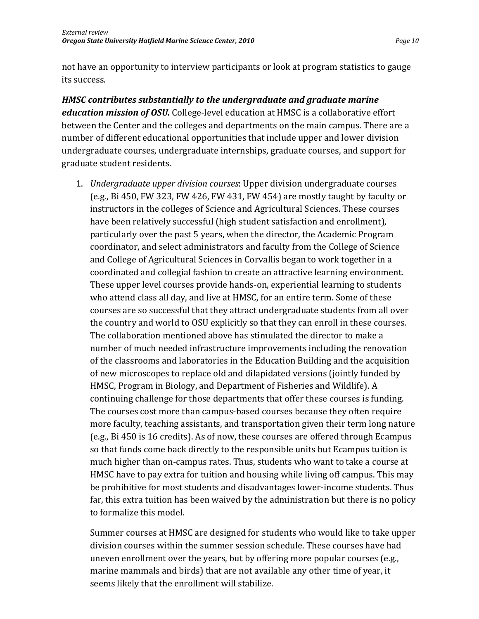not have an opportunity to interview participants or look at program statistics to gauge its success.

*HMSC contributes substantially to the undergraduate and graduate marine education mission of OSU.* College‐level education at HMSC is a collaborative effort between the Center and the colleges and departments on the main campus. There are a number of different educational opportunities that include upper and lower division undergraduate courses, undergraduate internships, graduate courses, and support for graduate student residents.

1. *Undergraduate upper division courses*: Upper division undergraduate courses (e.g., Bi 450, FW 323, FW 426, FW 431, FW 454) are mostly taught by faculty or instructors in the colleges of Science and Agricultural Sciences. These courses have been relatively successful (high student satisfaction and enrollment), particularly over the past 5 years, when the director, the Academic Program coordinator, and select administrators and faculty from the College of Science and College of Agricultural Sciences in Corvallis began to work together in a coordinated and collegial fashion to create an attractive learning environment. These upper level courses provide hands‐on, experiential learning to students who attend class all day, and live at HMSC, for an entire term. Some of these courses are so successful that they attract undergraduate students from all over the country and world to OSU explicitly so that they can enroll in these courses. The collaboration mentioned above has stimulated the director to make a number of much needed infrastructure improvements including the renovation of the classrooms and laboratories in the Education Building and the acquisition of new microscopes to replace old and dilapidated versions (jointly funded by HMSC, Program in Biology, and Department of Fisheries and Wildlife). A continuing challenge for those departments that offer these courses is funding. The courses cost more than campus‐based courses because they often require more faculty, teaching assistants, and transportation given their term long nature (e.g., Bi 450 is 16 credits). As of now, these courses are offered through Ecampus so that funds come back directly to the responsible units but Ecampus tuition is much higher than on‐campus rates. Thus, students who want to take a course at HMSC have to pay extra for tuition and housing while living off campus. This may be prohibitive for most students and disadvantages lower-income students. Thus far, this extra tuition has been waived by the administration but there is no policy to formalize this model.

Summer courses at HMSC are designed for students who would like to take upper division courses within the summer session schedule. These courses have had uneven enrollment over the years, but by offering more popular courses (e.g., marine mammals and birds) that are not available any other time of year, it seems likely that the enrollment will stabilize.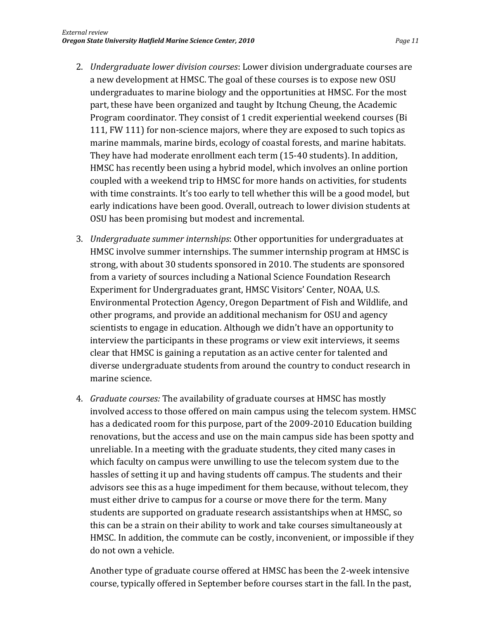- 2. *Undergraduate lower division courses*: Lower division undergraduate courses are a new development at HMSC. The goal of these courses is to expose new OSU undergraduates to marine biology and the opportunities at HMSC. For the most part, these have been organized and taught by Itchung Cheung, the Academic Program coordinator. They consist of 1 credit experiential weekend courses (Bi 111, FW 111) for non-science majors, where they are exposed to such topics as marine mammals, marine birds, ecology of coastal forests, and marine habitats. They have had moderate enrollment each term (15‐40 students). In addition, HMSC has recently been using a hybrid model, which involves an online portion coupled with a weekend trip to HMSC for more hands on activities, for students with time constraints. It's too early to tell whether this will be a good model, but early indications have been good. Overall, outreach to lower division students at OSU has been promising but modest and incremental.
- 3. *Undergraduate summer internships*: Other opportunities for undergraduates at HMSC involve summer internships. The summer internship program at HMSC is strong, with about 30 students sponsored in 2010. The students are sponsored from a variety of sources including a National Science Foundation Research Experiment for Undergraduates grant, HMSC Visitors' Center, NOAA, U.S. Environmental Protection Agency, Oregon Department of Fish and Wildlife, and other programs, and provide an additional mechanism for OSU and agency scientists to engage in education. Although we didn't have an opportunity to interview the participants in these programs or view exit interviews, it seems clear that HMSC is gaining a reputation as an active center for talented and diverse undergraduate students from around the country to conduct research in marine science.
- 4. *Graduate courses:* The availability of graduate courses at HMSC has mostly involved access to those offered on main campus using the telecom system. HMSC has a dedicated room for this purpose, part of the 2009‐2010 Education building renovations, but the access and use on the main campus side has been spotty and unreliable. In a meeting with the graduate students, they cited many cases in which faculty on campus were unwilling to use the telecom system due to the hassles of setting it up and having students off campus. The students and their advisors see this as a huge impediment for them because, without telecom, they must either drive to campus for a course or move there for the term. Many students are supported on graduate research assistantships when at HMSC, so this can be a strain on their ability to work and take courses simultaneously at HMSC. In addition, the commute can be costly, inconvenient, or impossible if they do not own a vehicle.

Another type of graduate course offered at HMSC has been the 2‐week intensive course, typically offered in September before courses start in the fall. In the past,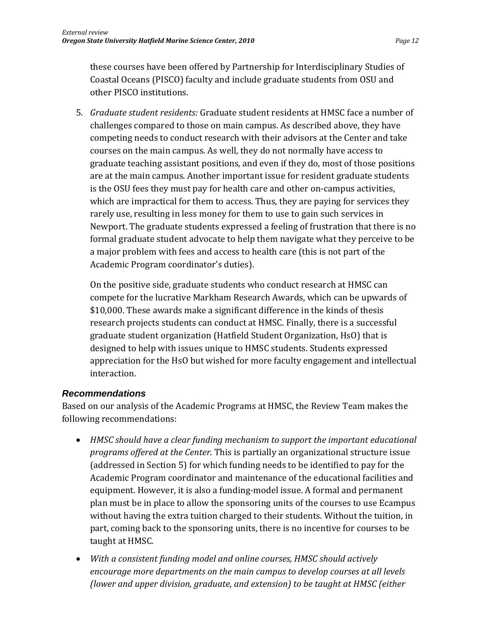these courses have been offered by Partnership for Interdisciplinary Studies of Coastal Oceans (PISCO) faculty and include graduate students from OSU and other PISCO institutions.

5. *Graduate student residents:* Graduate student residents at HMSC face a number of challenges compared to those on main campus. As described above, they have competing needs to conduct research with their advisors at the Center and take courses on the main campus. As well, they do not normally have access to graduate teaching assistant positions, and even if they do, most of those positions are at the main campus. Another important issue for resident graduate students is the OSU fees they must pay for health care and other on‐campus activities, which are impractical for them to access. Thus, they are paying for services they rarely use, resulting in less money for them to use to gain such services in Newport. The graduate students expressed a feeling of frustration that there is no formal graduate student advocate to help them navigate what they perceive to be a major problem with fees and access to health care (this is not part of the Academic Program coordinator's duties).

On the positive side, graduate students who conduct research at HMSC can compete for the lucrative Markham Research Awards, which can be upwards of \$10,000. These awards make a significant difference in the kinds of thesis research projects students can conduct at HMSC. Finally, there is a successful graduate student organization (Hatfield Student Organization, HsO) that is designed to help with issues unique to HMSC students. Students expressed appreciation for the HsO but wished for more faculty engagement and intellectual interaction.

#### *Recommendations*

Based on our analysis of the Academic Programs at HMSC, the Review Team makes the following recommendations:

- *HMSC should have a clear funding mechanism to support the important educational programs offered at the Center.* This is partially an organizational structure issue (addressed in Section 5) for which funding needs to be identified to pay for the Academic Program coordinator and maintenance of the educational facilities and equipment. However, it is also a funding‐model issue. A formal and permanent plan must be in place to allow the sponsoring units of the courses to use Ecampus without having the extra tuition charged to their students. Without the tuition, in part, coming back to the sponsoring units, there is no incentive for courses to be taught at HMSC.
- *With a consistent funding model and online courses, HMSC should actively encourage more departments on the main campus to develop courses at all levels (lower and upper division, graduate, and extension) to be taught at HMSC (either*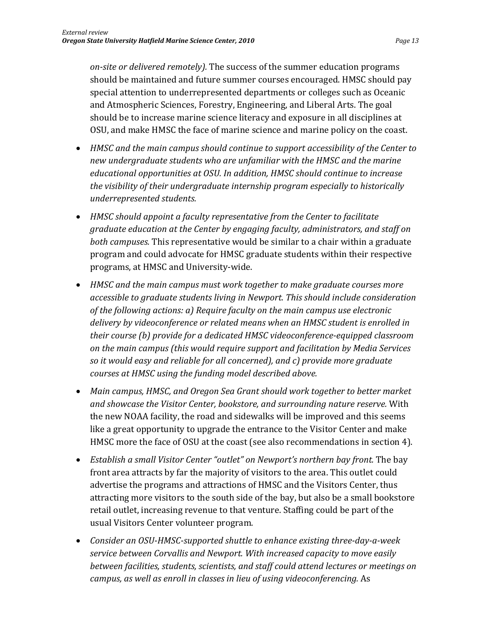*onsite or delivered remotely).* The success of the summer education programs should be maintained and future summer courses encouraged. HMSC should pay special attention to underrepresented departments or colleges such as Oceanic and Atmospheric Sciences, Forestry, Engineering, and Liberal Arts. The goal should be to increase marine science literacy and exposure in all disciplines at OSU, and make HMSC the face of marine science and marine policy on the coast.

- *HMSC and the main campus should continue to support accessibility of the Center to new undergraduate students who are unfamiliar with the HMSC and the marine educational opportunities at OSU. In addition, HMSC should continue to increase the visibility of their undergraduate internship program especially to historically underrepresented students.*
- *HMSC should appoint a faculty representative from the Center to facilitate graduate education at the Center by engaging faculty, administrators, and staff on both campuses.* This representative would be similar to a chair within a graduate program and could advocate for HMSC graduate students within their respective programs, at HMSC and University‐wide.
- *HMSC and the main campus must work together to make graduate courses more accessible to graduate students living in Newport. This should include consideration of the following actions: a) Require faculty on the main campus use electronic delivery by videoconference or related means when an HMSC student is enrolled in their course (b) provide for a dedicated HMSC videoconferenceequipped classroom on the main campus (this would require support and facilitation by Media Services so it would easy and reliable for all concerned), and c) provide more graduate courses at HMSC using the funding model described above.*
- *Main campus, HMSC, and Oregon Sea Grant should work together to better market and showcase the Visitor Center, bookstore, and surrounding nature reserve.* With the new NOAA facility, the road and sidewalks will be improved and this seems like a great opportunity to upgrade the entrance to the Visitor Center and make HMSC more the face of OSU at the coast (see also recommendations in section 4).
- *Establish a small Visitor Center "outlet" on Newport's northern bay front.* The bay front area attracts by far the majority of visitors to the area. This outlet could advertise the programs and attractions of HMSC and the Visitors Center, thus attracting more visitors to the south side of the bay, but also be a small bookstore retail outlet, increasing revenue to that venture. Staffing could be part of the usual Visitors Center volunteer program.
- *Consider an OSUHMSCsupported shuttle to enhance existing threedayaweek service between Corvallis and Newport. With increased capacity to move easily between facilities, students, scientists, and staff could attend lectures or meetings on campus, as well as enroll in classes in lieu of using videoconferencing.* As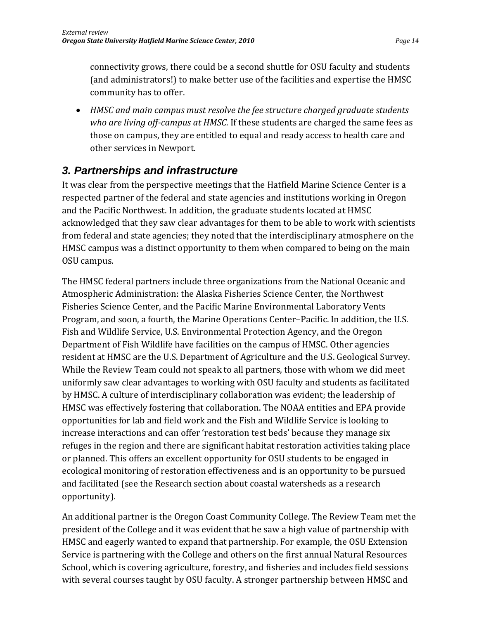connectivity grows, there could be a second shuttle for OSU faculty and students (and administrators!) to make better use of the facilities and expertise the HMSC community has to offer.

 *HMSC and main campus must resolve the fee structure charged graduate students who are living offcampus at HMSC.* If these students are charged the same fees as those on campus, they are entitled to equal and ready access to health care and other services in Newport.

## *3. Partnerships and infrastructure*

It was clear from the perspective meetings that the Hatfield Marine Science Center is a respected partner of the federal and state agencies and institutions working in Oregon and the Pacific Northwest. In addition, the graduate students located at HMSC acknowledged that they saw clear advantages for them to be able to work with scientists from federal and state agencies; they noted that the interdisciplinary atmosphere on the HMSC campus was a distinct opportunity to them when compared to being on the main OSU campus.

The HMSC federal partners include three organizations from the National Oceanic and Atmospheric Administration: the Alaska Fisheries Science Center, the Northwest Fisheries Science Center, and the Pacific Marine Environmental Laboratory Vents Program, and soon, a fourth, the Marine Operations Center–Pacific. In addition, the U.S. Fish and Wildlife Service, U.S. Environmental Protection Agency, and the Oregon Department of Fish Wildlife have facilities on the campus of HMSC. Other agencies resident at HMSC are the U.S. Department of Agriculture and the U.S. Geological Survey. While the Review Team could not speak to all partners, those with whom we did meet uniformly saw clear advantages to working with OSU faculty and students as facilitated by HMSC. A culture of interdisciplinary collaboration was evident; the leadership of HMSC was effectively fostering that collaboration. The NOAA entities and EPA provide opportunities for lab and field work and the Fish and Wildlife Service is looking to increase interactions and can offer 'restoration test beds' because they manage six refuges in the region and there are significant habitat restoration activities taking place or planned. This offers an excellent opportunity for OSU students to be engaged in ecological monitoring of restoration effectiveness and is an opportunity to be pursued and facilitated (see the Research section about coastal watersheds as a research opportunity).

An additional partner is the Oregon Coast Community College. The Review Team met the president of the College and it was evident that he saw a high value of partnership with HMSC and eagerly wanted to expand that partnership. For example, the OSU Extension Service is partnering with the College and others on the first annual Natural Resources School, which is covering agriculture, forestry, and fisheries and includes field sessions with several courses taught by OSU faculty. A stronger partnership between HMSC and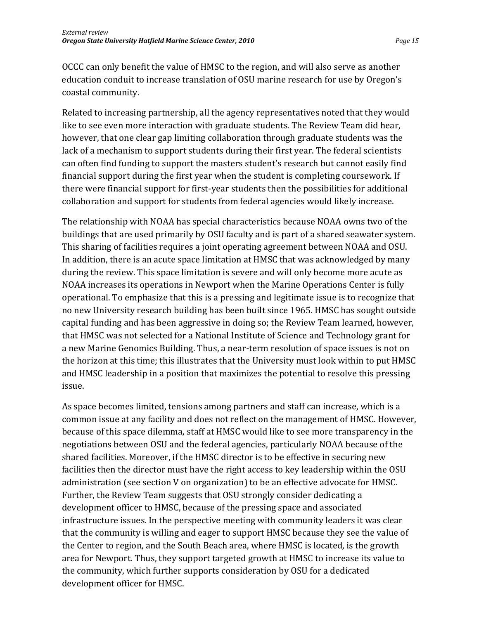OCCC can only benefit the value of HMSC to the region, and will also serve as another education conduit to increase translation of OSU marine research for use by Oregon's coastal community.

Related to increasing partnership, all the agency representatives noted that they would like to see even more interaction with graduate students. The Review Team did hear, however, that one clear gap limiting collaboration through graduate students was the lack of a mechanism to support students during their first year. The federal scientists can often find funding to support the masters student's research but cannot easily find financial support during the first year when the student is completing coursework. If there were financial support for first‐year students then the possibilities for additional collaboration and support for students from federal agencies would likely increase.

The relationship with NOAA has special characteristics because NOAA owns two of the buildings that are used primarily by OSU faculty and is part of a shared seawater system. This sharing of facilities requires a joint operating agreement between NOAA and OSU. In addition, there is an acute space limitation at HMSC that was acknowledged by many during the review. This space limitation is severe and will only become more acute as NOAA increases its operations in Newport when the Marine Operations Center is fully operational. To emphasize that this is a pressing and legitimate issue is to recognize that no new University research building has been built since 1965. HMSC has sought outside capital funding and has been aggressive in doing so; the Review Team learned, however, that HMSC was not selected for a National Institute of Science and Technology grant for a new Marine Genomics Building. Thus, a near‐term resolution of space issues is not on the horizon at this time; this illustrates that the University must look within to put HMSC and HMSC leadership in a position that maximizes the potential to resolve this pressing issue.

As space becomes limited, tensions among partners and staff can increase, which is a common issue at any facility and does not reflect on the management of HMSC. However, because of this space dilemma, staff at HMSC would like to see more transparency in the negotiations between OSU and the federal agencies, particularly NOAA because of the shared facilities. Moreover, if the HMSC director is to be effective in securing new facilities then the director must have the right access to key leadership within the OSU administration (see section V on organization) to be an effective advocate for HMSC. Further, the Review Team suggests that OSU strongly consider dedicating a development officer to HMSC, because of the pressing space and associated infrastructure issues. In the perspective meeting with community leaders it was clear that the community is willing and eager to support HMSC because they see the value of the Center to region, and the South Beach area, where HMSC is located, is the growth area for Newport. Thus, they support targeted growth at HMSC to increase its value to the community, which further supports consideration by OSU for a dedicated development officer for HMSC.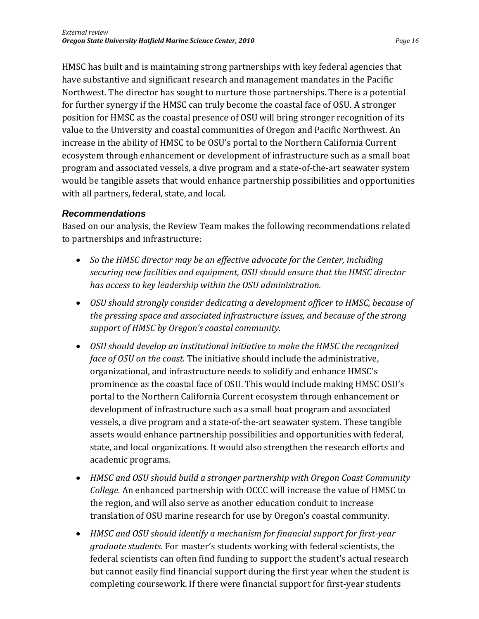HMSC has built and is maintaining strong partnerships with key federal agencies that have substantive and significant research and management mandates in the Pacific Northwest. The director has sought to nurture those partnerships. There is a potential for further synergy if the HMSC can truly become the coastal face of OSU. A stronger position for HMSC as the coastal presence of OSU will bring stronger recognition of its value to the University and coastal communities of Oregon and Pacific Northwest. An increase in the ability of HMSC to be OSU's portal to the Northern California Current ecosystem through enhancement or development of infrastructure such as a small boat program and associated vessels, a dive program and a state‐of‐the‐art seawater system would be tangible assets that would enhance partnership possibilities and opportunities with all partners, federal, state, and local.

#### *Recommendations*

Based on our analysis, the Review Team makes the following recommendations related to partnerships and infrastructure:

- *So the HMSC director may be an effective advocate for the Center, including securing new facilities and equipment, OSU should ensure that the HMSC director has access to key leadership within the OSU administration.*
- *OSU should strongly consider dedicating a development officer to HMSC, because of the pressing space and associated infrastructure issues, and because of the strong support of HMSC by Oregon's coastal community.*
- *OSU should develop an institutional initiative to make the HMSC the recognized face of OSU on the coast.* The initiative should include the administrative, organizational, and infrastructure needs to solidify and enhance HMSC's prominence as the coastal face of OSU. This would include making HMSC OSU's portal to the Northern California Current ecosystem through enhancement or development of infrastructure such as a small boat program and associated vessels, a dive program and a state‐of‐the‐art seawater system. These tangible assets would enhance partnership possibilities and opportunities with federal, state, and local organizations. It would also strengthen the research efforts and academic programs.
- *HMSC and OSU should build a stronger partnership with Oregon Coast Community College.* An enhanced partnership with OCCC will increase the value of HMSC to the region, and will also serve as another education conduit to increase translation of OSU marine research for use by Oregon's coastal community.
- *HMSC and OSU should identify a mechanism for financial support for firstyear graduate students.* For master's students working with federal scientists, the federal scientists can often find funding to support the student's actual research but cannot easily find financial support during the first year when the student is completing coursework. If there were financial support for first‐year students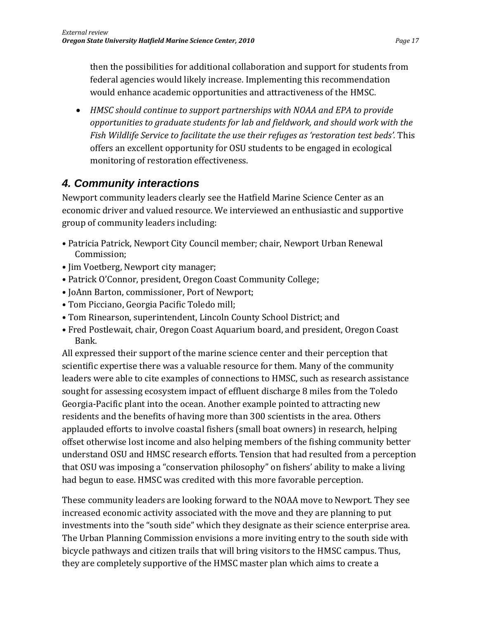then the possibilities for additional collaboration and support for students from federal agencies would likely increase. Implementing this recommendation would enhance academic opportunities and attractiveness of the HMSC.

 *HMSC should continue to support partnerships with NOAA and EPA to provide opportunities to graduate students for lab and fieldwork, and should work with the Fish Wildlife Service to facilitate the use their refuges as 'restoration test beds'.* This offers an excellent opportunity for OSU students to be engaged in ecological monitoring of restoration effectiveness.

## *4. Community interactions*

Newport community leaders clearly see the Hatfield Marine Science Center as an economic driver and valued resource. We interviewed an enthusiastic and supportive group of community leaders including:

- Patricia Patrick, Newport City Council member; chair, Newport Urban Renewal Commission;
- Jim Voetberg, Newport city manager;
- Patrick O'Connor, president, Oregon Coast Community College;
- JoAnn Barton, commissioner, Port of Newport;
- Tom Picciano, Georgia Pacific Toledo mill;
- Tom Rinearson, superintendent, Lincoln County School District; and
- Fred Postlewait, chair, Oregon Coast Aquarium board, and president, Oregon Coast Bank.

All expressed their support of the marine science center and their perception that scientific expertise there was a valuable resource for them. Many of the community leaders were able to cite examples of connections to HMSC, such as research assistance sought for assessing ecosystem impact of effluent discharge 8 miles from the Toledo Georgia‐Pacific plant into the ocean. Another example pointed to attracting new residents and the benefits of having more than 300 scientists in the area. Others applauded efforts to involve coastal fishers (small boat owners) in research, helping offset otherwise lost income and also helping members of the fishing community better understand OSU and HMSC research efforts. Tension that had resulted from a perception that OSU was imposing a "conservation philosophy" on fishers' ability to make a living had begun to ease. HMSC was credited with this more favorable perception.

These community leaders are looking forward to the NOAA move to Newport. They see increased economic activity associated with the move and they are planning to put investments into the "south side" which they designate as their science enterprise area. The Urban Planning Commission envisions a more inviting entry to the south side with bicycle pathways and citizen trails that will bring visitors to the HMSC campus. Thus, they are completely supportive of the HMSC master plan which aims to create a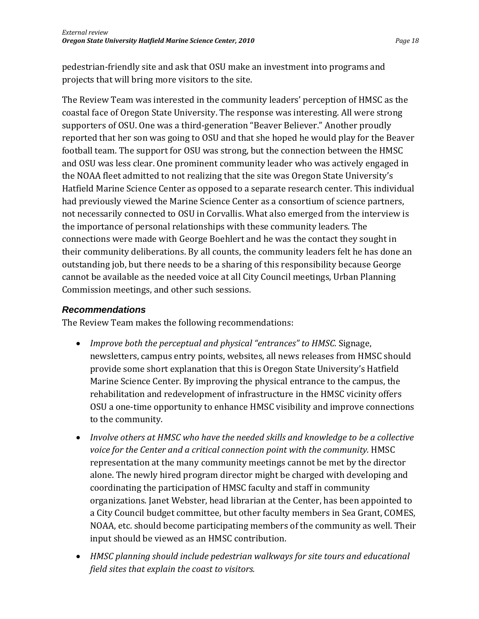pedestrian‐friendly site and ask that OSU make an investment into programs and projects that will bring more visitors to the site.

The Review Team was interested in the community leaders' perception of HMSC as the coastal face of Oregon State University. The response was interesting. All were strong supporters of OSU. One was a third‐generation "Beaver Believer." Another proudly reported that her son was going to OSU and that she hoped he would play for the Beaver football team. The support for OSU was strong, but the connection between the HMSC and OSU was less clear. One prominent community leader who was actively engaged in the NOAA fleet admitted to not realizing that the site was Oregon State University's Hatfield Marine Science Center as opposed to a separate research center. This individual had previously viewed the Marine Science Center as a consortium of science partners, not necessarily connected to OSU in Corvallis. What also emerged from the interview is the importance of personal relationships with these community leaders. The connections were made with George Boehlert and he was the contact they sought in their community deliberations. By all counts, the community leaders felt he has done an outstanding job, but there needs to be a sharing of this responsibility because George cannot be available as the needed voice at all City Council meetings, Urban Planning Commission meetings, and other such sessions.

#### *Recommendations*

The Review Team makes the following recommendations:

- *Improve both the perceptual and physical "entrances" to HMSC.* Signage, newsletters, campus entry points, websites, all news releases from HMSC should provide some short explanation that this is Oregon State University's Hatfield Marine Science Center. By improving the physical entrance to the campus, the rehabilitation and redevelopment of infrastructure in the HMSC vicinity offers OSU a one‐time opportunity to enhance HMSC visibility and improve connections to the community.
- *Involve others at HMSC who have the needed skills and knowledge to be a collective voice for the Center and a critical connection point with the community.* HMSC representation at the many community meetings cannot be met by the director alone. The newly hired program director might be charged with developing and coordinating the participation of HMSC faculty and staff in community organizations. Janet Webster, head librarian at the Center, has been appointed to a City Council budget committee, but other faculty members in Sea Grant, COMES, NOAA, etc. should become participating members of the community as well. Their input should be viewed as an HMSC contribution.
- *HMSC planning should include pedestrian walkways for site tours and educational field sites that explain the coast to visitors.*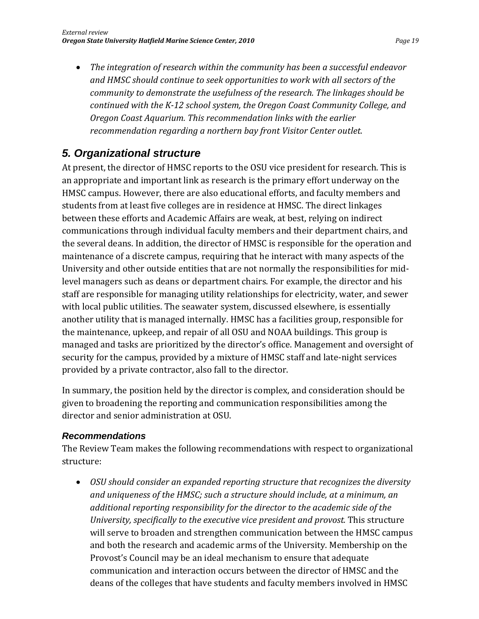*The integration of research within the community has been a successful endeavor and HMSC should continue to seek opportunities to work with all sectors of the community to demonstrate the usefulness of the research. The linkages should be continued with the K12 school system, the Oregon Coast Community College, and Oregon Coast Aquarium. This recommendation links with the earlier recommendation regarding a northern bay front Visitor Center outlet.*

## *5. Organizational structure*

At present, the director of HMSC reports to the OSU vice president for research. This is an appropriate and important link as research is the primary effort underway on the HMSC campus. However, there are also educational efforts, and faculty members and students from at least five colleges are in residence at HMSC. The direct linkages between these efforts and Academic Affairs are weak, at best, relying on indirect communications through individual faculty members and their department chairs, and the several deans. In addition, the director of HMSC is responsible for the operation and maintenance of a discrete campus, requiring that he interact with many aspects of the University and other outside entities that are not normally the responsibilities for mid‐ level managers such as deans or department chairs. For example, the director and his staff are responsible for managing utility relationships for electricity, water, and sewer with local public utilities. The seawater system, discussed elsewhere, is essentially another utility that is managed internally. HMSC has a facilities group, responsible for the maintenance, upkeep, and repair of all OSU and NOAA buildings. This group is managed and tasks are prioritized by the director's office. Management and oversight of security for the campus, provided by a mixture of HMSC staff and late-night services provided by a private contractor, also fall to the director.

In summary, the position held by the director is complex, and consideration should be given to broadening the reporting and communication responsibilities among the director and senior administration at OSU.

#### *Recommendations*

The Review Team makes the following recommendations with respect to organizational structure:

 *OSU should consider an expanded reporting structure that recognizes the diversity and uniqueness of the HMSC; such a structure should include, at a minimum, an additional reporting responsibility for the director to the academic side of the University, specifically to the executive vice president and provost.* This structure will serve to broaden and strengthen communication between the HMSC campus and both the research and academic arms of the University. Membership on the Provost's Council may be an ideal mechanism to ensure that adequate communication and interaction occurs between the director of HMSC and the deans of the colleges that have students and faculty members involved in HMSC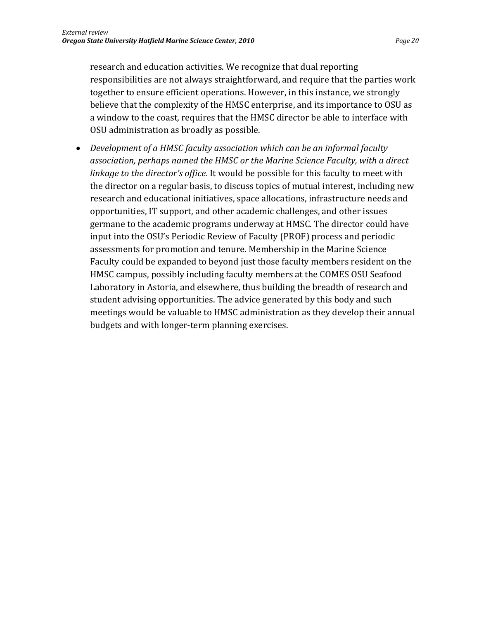research and education activities. We recognize that dual reporting responsibilities are not always straightforward, and require that the parties work together to ensure efficient operations. However, in this instance, we strongly believe that the complexity of the HMSC enterprise, and its importance to OSU as a window to the coast, requires that the HMSC director be able to interface with OSU administration as broadly as possible.

 *Development of a HMSC faculty association which can be an informal faculty association, perhaps named the HMSC or the Marine Science Faculty, with a direct linkage to the director's office.* It would be possible for this faculty to meet with the director on a regular basis, to discuss topics of mutual interest, including new research and educational initiatives, space allocations, infrastructure needs and opportunities, IT support, and other academic challenges, and other issues germane to the academic programs underway at HMSC. The director could have input into the OSU's Periodic Review of Faculty (PROF) process and periodic assessments for promotion and tenure. Membership in the Marine Science Faculty could be expanded to beyond just those faculty members resident on the HMSC campus, possibly including faculty members at the COMES OSU Seafood Laboratory in Astoria, and elsewhere, thus building the breadth of research and student advising opportunities. The advice generated by this body and such meetings would be valuable to HMSC administration as they develop their annual budgets and with longer‐term planning exercises.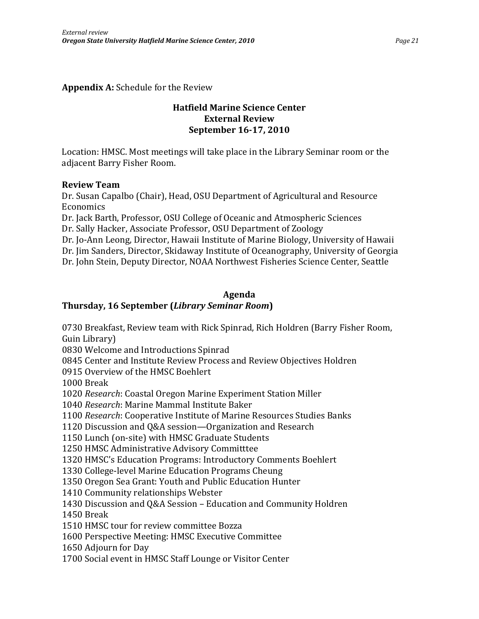**Appendix A:** Schedule for the Review

#### **Hatfield Marine Science Center External Review September 1617, 2010**

Location: HMSC. Most meetings will take place in the Library Seminar room or the adjacent Barry Fisher Room.

#### **Review Team**

Dr. Susan Capalbo (Chair), Head, OSU Department of Agricultural and Resource Economics

Dr. Jack Barth, Professor, OSU College of Oceanic and Atmospheric Sciences Dr. Sally Hacker, Associate Professor, OSU Department of Zoology

Dr. Jo‐Ann Leong, Director, Hawaii Institute of Marine Biology, University of Hawaii Dr. Jim Sanders, Director, Skidaway Institute of Oceanography, University of Georgia Dr. John Stein, Deputy Director, NOAA Northwest Fisheries Science Center, Seattle

#### **Agenda**

#### **Thursday, 16 September (***Library Seminar Room***)**

0730 Breakfast, Review team with Rick Spinrad, Rich Holdren (Barry Fisher Room, Guin Library)

0830 Welcome and Introductions Spinrad

0845 Center and Institute Review Process and Review Objectives Holdren

0915 Overview of the HMSC Boehlert

1000 Break

1020 *Research*: Coastal Oregon Marine Experiment Station Miller

1040 *Research*: Marine Mammal Institute Baker

1100 *Research*: Cooperative Institute of Marine Resources Studies Banks

1120 Discussion and Q&A session—Organization and Research

1150 Lunch (on‐site) with HMSC Graduate Students

1250 HMSC Administrative Advisory Committtee

1320 HMSC's Education Programs: Introductory Comments Boehlert

1330 College‐level Marine Education Programs Cheung

1350 Oregon Sea Grant: Youth and Public Education Hunter

1410 Community relationships Webster

1430 Discussion and Q&A Session – Education and Community Holdren

1450 Break

1510 HMSC tour for review committee Bozza

1600 Perspective Meeting: HMSC Executive Committee

1650 Adjourn for Day

1700 Social event in HMSC Staff Lounge or Visitor Center